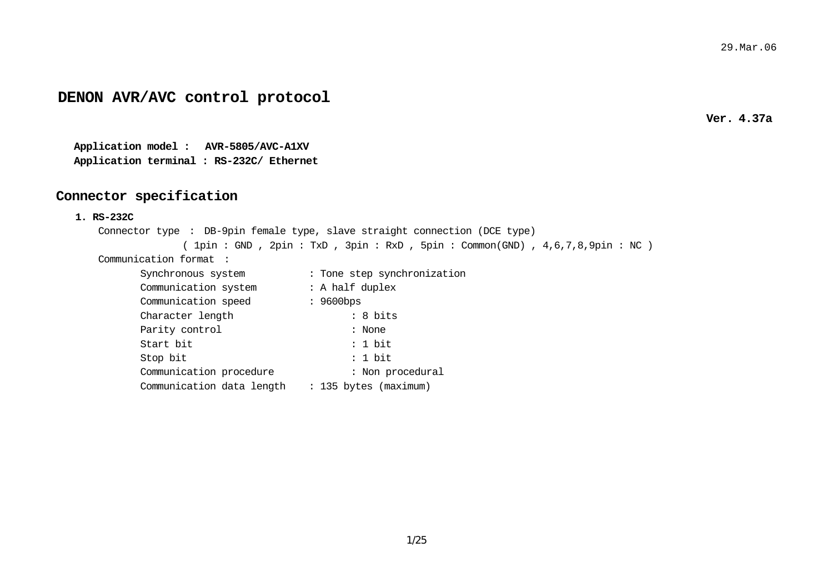## **DENON AVR/AVC control protocol**

**Ver. 4.37a** 

**Application model : AVR-5805/AVC-A1XV Application terminal : RS-232C/ Ethernet**

### **Connector specification**

#### **1. RS-232C**

```
Connector type : DB-9pin female type, slave straight connection (DCE type) 
             ( 1pin : GND , 2pin : TxD , 3pin : RxD , 5pin : Common(GND) , 4,6,7,8,9pin : NC ) 
Communication format : Synchronous system : Tone step synchronization
```

| Communication system      | : A half duplex       |
|---------------------------|-----------------------|
| Communication speed       | $: 9600$ bps          |
| Character length          | : 8 bits              |
| Parity control            | : None                |
| Start bit                 | : 1 bit               |
| Stop bit                  | : 1 bit               |
| Communication procedure   | : Non procedural      |
| Communication data length | : 135 bytes (maximum) |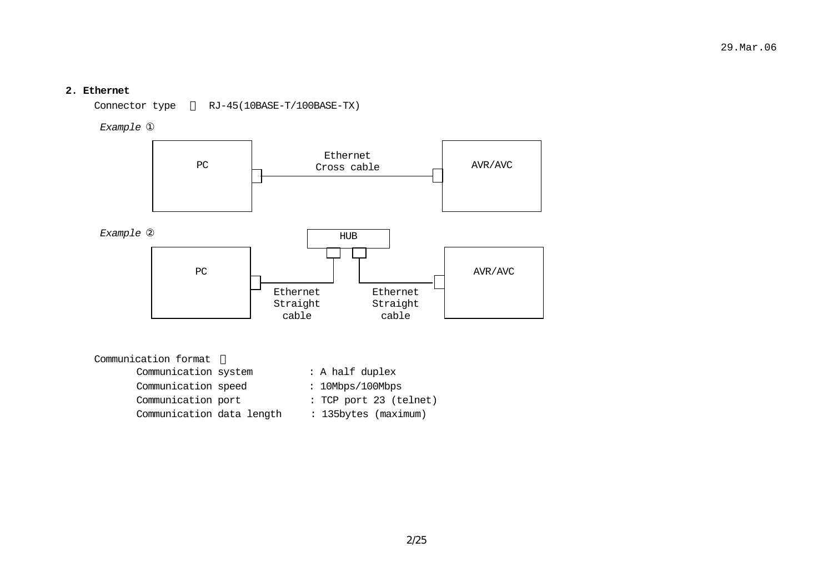### **2. Ethernet**

Connector type RJ-45(10BASE-T/100BASE-TX)

*Example* 



| Communication format      |                        |  |  |  |
|---------------------------|------------------------|--|--|--|
| Communication system      | : A half duplex        |  |  |  |
| Communication speed       | : 10Mbps/100Mbps       |  |  |  |
| Communication port        | : TCP port 23 (telnet) |  |  |  |
| Communication data length | : 135bytes (maximum)   |  |  |  |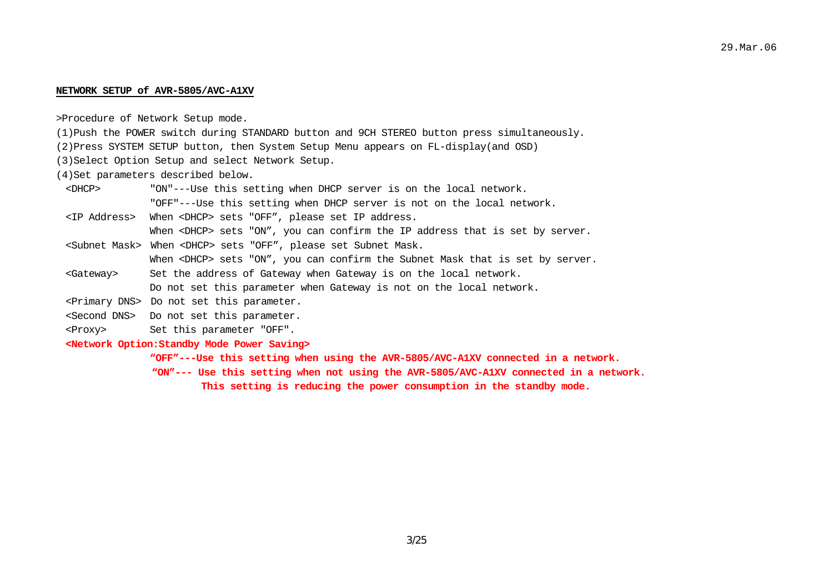#### **NETWORK SETUP of AVR-5805/AVC-A1XV**

>Procedure of Network Setup mode.

- (1)Push the POWER switch during STANDARD button and 9CH STEREO button press simultaneously.
- (2)Press SYSTEM SETUP button, then System Setup Menu appears on FL-display(and OSD)
- (3)Select Option Setup and select Network Setup.

(4)Set parameters described below.

- <DHCP> "ON"---Use this setting when DHCP server is on the local network. "OFF"---Use this setting when DHCP server is not on the local network.
- <IP Address> When <DHCP> sets "OFF", please set IP address.

When <DHCP> sets "ON", you can confirm the IP address that is set by server.

- <Subnet Mask> When <DHCP> sets "OFF", please set Subnet Mask. When <DHCP> sets "ON", you can confirm the Subnet Mask that is set by server.
- <Gateway> Set the address of Gateway when Gateway is on the local network. Do not set this parameter when Gateway is not on the local network.
- <Primary DNS> Do not set this parameter.
- <Second DNS> Do not set this parameter.
- <Proxy> Set this parameter "OFF".
- **<Network Option:Standby Mode Power Saving>**

**"OFF"---Use this setting when using the AVR-5805/AVC-A1XV connected in a network.** 

- **"ON"--- Use this setting when not using the AVR-5805/AVC-A1XV connected in a network.** 
	- **This setting is reducing the power consumption in the standby mode.**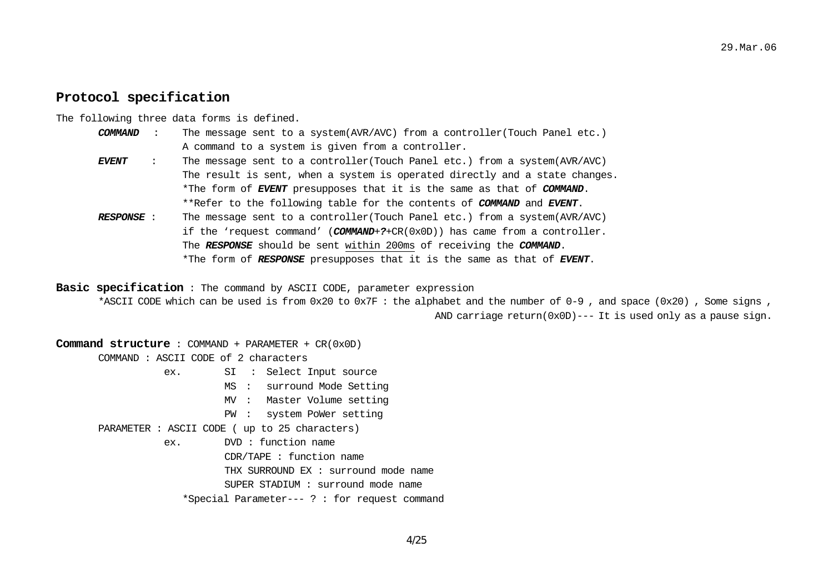### **Protocol specification**

The following three data forms is defined.

- *COMMAND* : The message sent to a system(AVR/AVC) from a controller(Touch Panel etc.) A command to a system is given from a controller.
- *EVENT* : The message sent to a controller(Touch Panel etc.) from a system(AVR/AVC) The result is sent, when a system is operated directly and a state changes. \*The form of *EVENT* presupposes that it is the same as that of *COMMAND*. \*\*Refer to the following table for the contents of *COMMAND* and *EVENT*.
- *RESPONSE* : The message sent to a controller(Touch Panel etc.) from a system(AVR/AVC) if the 'request command' (*COMMAND*+*?*+CR(0x0D)) has came from a controller. The *RESPONSE* should be sent within 200ms of receiving the *COMMAND*. \*The form of *RESPONSE* presupposes that it is the same as that of *EVENT*.

**Basic specification** : The command by ASCII CODE, parameter expression

\*ASCII CODE which can be used is from 0x20 to 0x7F : the alphabet and the number of 0-9 , and space (0x20) , Some signs , AND carriage  $return(0x0D)---$  It is used only as a pause sign.

**Command structure** : COMMAND + PARAMETER + CR(0x0D) COMMAND : ASCII CODE of 2 characters ex. SI : Select Input source MS : surround Mode Setting MV : Master Volume setting PW : system PoWer setting PARAMETER : ASCII CODE ( up to 25 characters) ex. DVD : function name CDR/TAPE : function name

 THX SURROUND EX : surround mode name SUPER STADIUM : surround mode name \*Special Parameter--- ? : for request command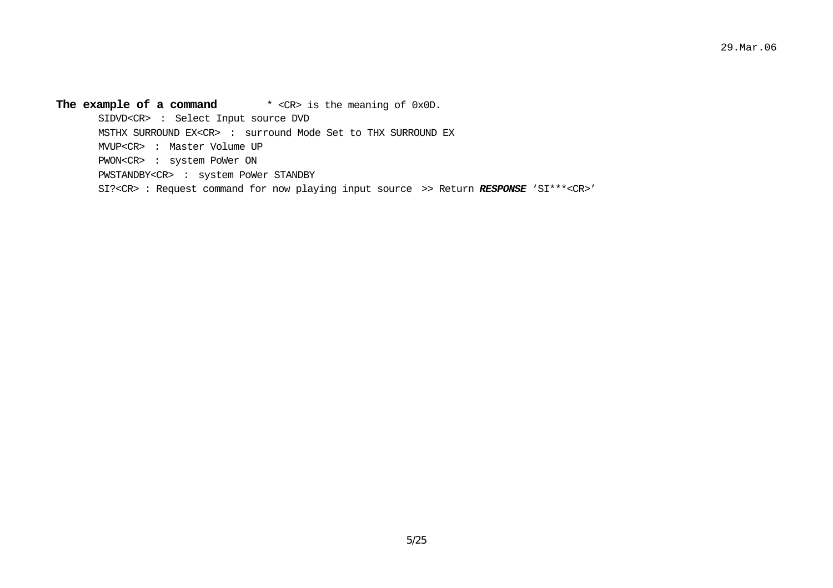The example of a command \* <CR> is the meaning of 0x0D. SIDVD<CR> : Select Input source DVD MSTHX SURROUND EX<CR> : surround Mode Set to THX SURROUND EX MVUP<CR> : Master Volume UP PWON<CR> : system PoWer ON PWSTANDBY<CR> : system PoWer STANDBY SI?<CR> : Request command for now playing input source >> Return *RESPONSE* 'SI\*\*\*<CR>'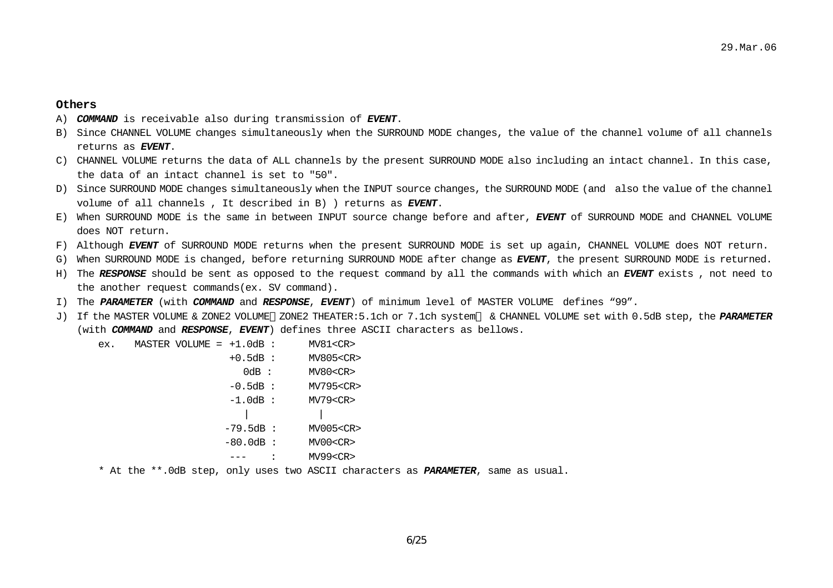### **Others**

- A) *COMMAND* is receivable also during transmission of *EVENT*.
- B) Since CHANNEL VOLUME changes simultaneously when the SURROUND MODE changes, the value of the channel volume of all channels returns as *EVENT*.
- C) CHANNEL VOLUME returns the data of ALL channels by the present SURROUND MODE also including an intact channel. In this case, the data of an intact channel is set to "50".
- D) Since SURROUND MODE changes simultaneously when the INPUT source changes, the SURROUND MODE (and also the value of the channel volume of all channels , It described in B) ) returns as *EVENT*.
- E) When SURROUND MODE is the same in between INPUT source change before and after, *EVENT* of SURROUND MODE and CHANNEL VOLUME does NOT return.
- F) Although *EVENT* of SURROUND MODE returns when the present SURROUND MODE is set up again, CHANNEL VOLUME does NOT return.
- G) When SURROUND MODE is changed, before returning SURROUND MODE after change as *EVENT*, the present SURROUND MODE is returned.
- H) The *RESPONSE* should be sent as opposed to the request command by all the commands with which an *EVENT* exists , not need to the another request commands(ex. SV command).
- I) The *PARAMETER* (with *COMMAND* and *RESPONSE*, *EVENT*) of minimum level of MASTER VOLUME defines "99".
- J) If the MASTER VOLUME & ZONE2 VOLUME ZONE2 THEATER:5.1ch or 7.1ch system & CHANNEL VOLUME set with 0.5dB step, the *PARAMETER* (with *COMMAND* and *RESPONSE*, *EVENT*) defines three ASCII characters as bellows.

ex. MASTER VOLUME = +1.0dB : MV81<CR> +0.5dB : MV805<CR> 0dB : MV80<CR> -0.5dB : MV795<CR> -1.0dB : MV79<CR> | | -79.5dB : MV005<CR> -80.0dB : MV00<CR> --- : MV99<CR>

\* At the \*\*.0dB step, only uses two ASCII characters as *PARAMETER*, same as usual.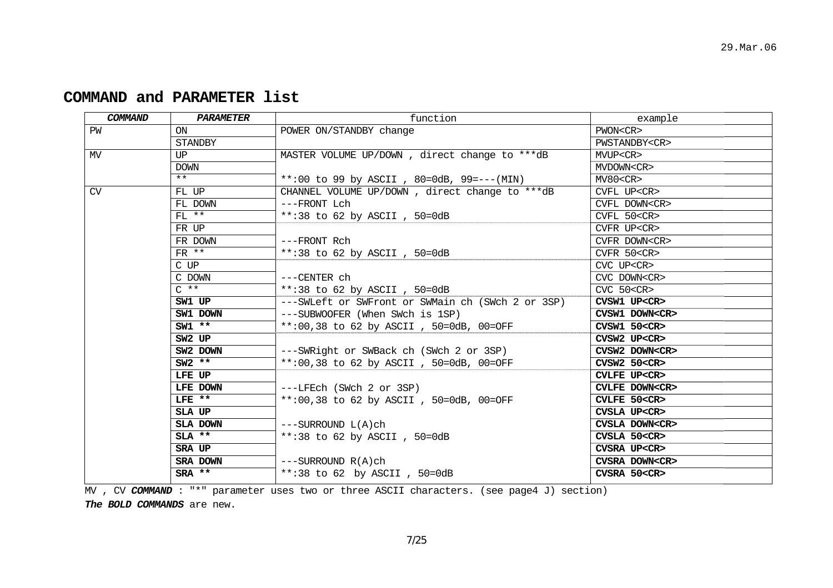| COMMAND | <b>PARAMETER</b> | function                                          | example              |
|---------|------------------|---------------------------------------------------|----------------------|
| PW      | ON               | POWER ON/STANDBY change                           | PWON <cr></cr>       |
|         | <b>STANDBY</b>   |                                                   | PWSTANDBY <cr></cr>  |
| MV      | UP               | MASTER VOLUME UP/DOWN, direct change to ***dB     | MVUP <cr></cr>       |
|         | <b>DOWN</b>      |                                                   | MVDOWN <cr></cr>     |
|         | $***$            | **:00 to 99 by ASCII, 80=0dB, 99 = --- (MIN)      | MV80 < CR            |
| CV      | FL UP            | CHANNEL VOLUME UP/DOWN, direct change to ***dB    | CVFL UP <cr></cr>    |
|         | FL DOWN          | ---FRONT Lch                                      | CVFL DOWN <cr></cr>  |
|         | $FL$ **          | **:38 to 62 by ASCII, $50=0dB$                    | $CVFL$ 50 $<$ CR $>$ |
|         | FR UP            |                                                   | CVFR UP <cr></cr>    |
|         | FR DOWN          | ---FRONT Rch                                      | CVFR DOWN <cr></cr>  |
|         | $FR$ **          | **:38 to 62 by ASCII, 50=0dB                      | $CVFR$ 50 $<$ CR $>$ |
|         | C UP             |                                                   | CVC UP <cr></cr>     |
|         | C DOWN           | $---CENTER$ ch                                    | CVC DOWN <cr></cr>   |
|         | $C \star \star$  | **:38 to 62 by ASCII, $50=0dB$                    | $CVC$ 50 $<$ CR $>$  |
|         | SW1 UP           | ---SWLeft or SWFront or SWMain ch (SWch 2 or 3SP) | CVSW1 UP <cr></cr>   |
|         | SW1 DOWN         | ---SUBWOOFER (When SWch is 1SP)                   | CVSW1 DOWN <cr></cr> |
|         | $SW1$ **         | **:00,38 to 62 by ASCII, 50=0dB, 00=OFF           | CVSW1 50 < CR        |
|         | SW2 UP           |                                                   | CVSW2 UP <cr></cr>   |
|         | SW2 DOWN         | ---SWRight or SWBack ch (SWch 2 or 3SP)           | CVSW2 DOWN <cr></cr> |
|         | $SW2$ **         | **:00,38 to 62 by ASCII, 50=0dB, 00=OFF           | CVSW2 50 < CR        |
|         | LFE UP           |                                                   | CVLFE UP <cr></cr>   |
|         | LFE DOWN         | ---LFEch (SWch 2 or 3SP)                          | CVLFE DOWN <cr></cr> |
|         | $LFE$ **         | **:00,38 to 62 by ASCII, 50=0dB, 00=OFF           | CVLFE 50 <cr></cr>   |
|         | SLA UP           |                                                   | CVSLA UP <cr></cr>   |
|         | SLA DOWN         | $---SURROUND L(A)ch$                              | CVSLA DOWN <cr></cr> |
|         | $SLA$ **         | **:38 to 62 by ASCII, $50=0dB$                    | CVSLA 50 <cr></cr>   |
|         | SRA UP           |                                                   | CVSRA UP <cr></cr>   |
|         | SRA DOWN         | $---SURROUND R(A)ch$                              | CVSRA DOWN <cr></cr> |
|         | SRA **           | **:38 to 62 by ASCII, 50=0dB                      | CVSRA 50 <cr></cr>   |
|         |                  |                                                   |                      |

# **COMMAND and PARAMETER list**

MV , CV COMMAND : "\*" parameter uses two or three ASCII characters. (see page4 J) section)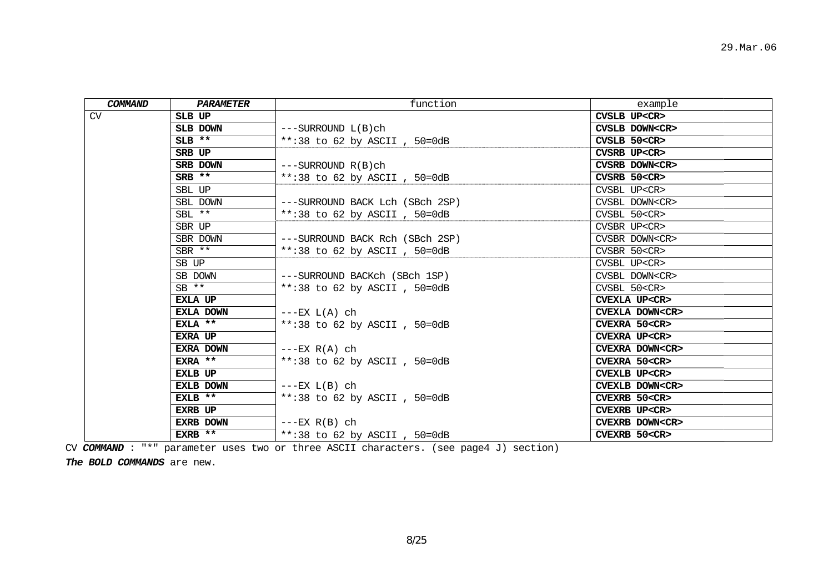| <b>COMMAND</b> | <b>PARAMETER</b> | function                        | example               |
|----------------|------------------|---------------------------------|-----------------------|
| CV             | SLB UP           |                                 | CVSLB UP <cr></cr>    |
|                | SLB DOWN         | $---SURROUND L(B)ch$            | CVSLB DOWN <cr></cr>  |
|                | $SLB$ **         | **:38 to 62 by ASCII, 50=0dB    | CVSLB 50 <cr></cr>    |
|                | SRB UP           |                                 | CVSRB UP <cr></cr>    |
|                | SRB DOWN         | $---SURROUND R(B)ch$            | CVSRB DOWN <cr></cr>  |
|                | $SRB$ **         | **:38 to 62 by ASCII, $50=0dB$  | CVSRB 50 <cr></cr>    |
|                | SBL UP           |                                 | CVSBL UP <cr></cr>    |
|                | SBL DOWN         | ---SURROUND BACK Lch (SBch 2SP) | CVSBL DOWN <cr></cr>  |
|                | $SBL$ **         | **:38 to 62 by ASCII, $50=0dB$  | CVSBL 50 <cr></cr>    |
|                | SBR UP           |                                 | CVSBR UP <cr></cr>    |
|                | SBR DOWN         | ---SURROUND BACK Rch (SBch 2SP) | CVSBR DOWN <cr></cr>  |
|                | $SBR$ **         | **:38 to 62 by ASCII, 50=0dB    | CVSBR 50 <cr></cr>    |
|                | SB UP            |                                 | CVSBL UP <cr></cr>    |
|                | SB DOWN          | ---SURROUND BACKch (SBch 1SP)   | CVSBL DOWN <cr></cr>  |
|                | $SB$ **          | **:38 to 62 by ASCII, 50=0dB    | CVSBL 50 <cr></cr>    |
|                | EXLA UP          |                                 | CVEXLA UP <cr></cr>   |
|                | EXLA DOWN        | $---EX L(A) ch$                 | CVEXLA DOWN <cr></cr> |
|                | $EXLA$ **        | **:38 to 62 by ASCII, $50=0dB$  | CVEXRA 50 <cr></cr>   |
|                | EXRA UP          |                                 | CVEXRA UP <cr></cr>   |
|                | EXRA DOWN        | $---EX R(A) ch$                 | CVEXRA DOWN <cr></cr> |
|                | EXRA **          | **:38 to 62 by ASCII, 50=0dB    | CVEXRA 50 <cr></cr>   |
|                | EXLB UP          |                                 | CVEXLB UP <cr></cr>   |
|                | EXLB DOWN        | $---EX L(B) ch$                 | CVEXLB DOWN <cr></cr> |
|                | $EXLB$ **        | **:38 to 62 by ASCII, 50=0dB    | CVEXRB 50 <cr></cr>   |
|                | <b>EXRB UP</b>   |                                 | CVEXRB UP <cr></cr>   |
|                | EXRB DOWN        | $---EX R(B) ch$                 | CVEXRB DOWN <cr></cr> |
|                | EXRB **          | **:38 to 62 by ASCII, 50=0dB    | CVEXRB 50 <cr></cr>   |

CV *COMMAND* : "\*" parameter uses two or three ASCII characters. (see page4 J) section)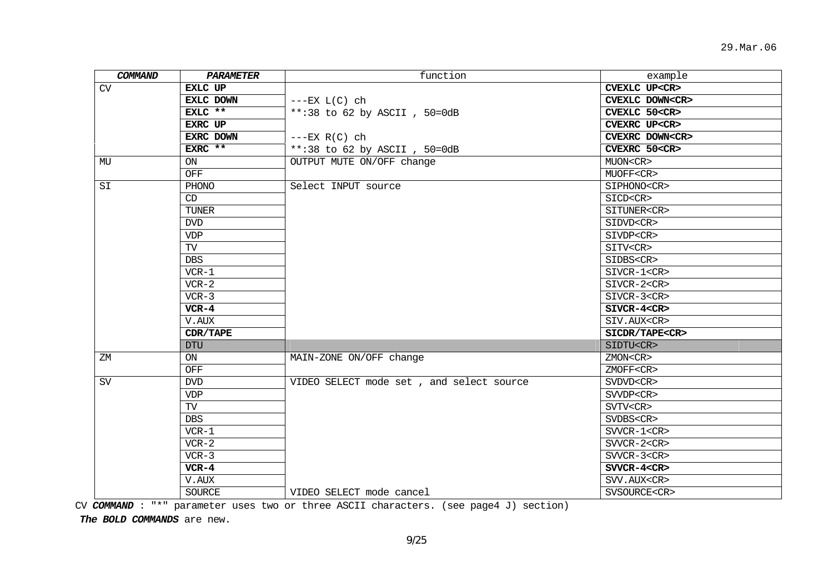| COMMAND   | PARAMETER      | function                                 | example               |
|-----------|----------------|------------------------------------------|-----------------------|
| CV        | <b>EXLC UP</b> |                                          | CVEXLC UP <cr></cr>   |
|           | EXLC DOWN      | $---EX L(C) ch$                          | CVEXLC DOWN <cr></cr> |
|           | EXLC **        | **:38 to 62 by ASCII, 50=0dB             | CVEXLC 50 <cr></cr>   |
|           | EXRC UP        |                                          | CVEXRC UP <cr></cr>   |
|           | EXRC DOWN      | $---EX R(C) ch$                          | CVEXRC DOWN <cr></cr> |
|           | EXRC **        | **:38 to 62 by ASCII, 50=0dB             | CVEXRC 50 <cr></cr>   |
| MU        | ON             | OUTPUT MUTE ON/OFF change                | MUON <cr></cr>        |
|           | OFF            |                                          | MUOFF <cr></cr>       |
| SI        | PHONO          | Select INPUT source                      | SIPHONO <cr></cr>     |
|           | CD             |                                          | SICD <cr></cr>        |
|           | <b>TUNER</b>   |                                          | SITUNER <cr></cr>     |
|           | <b>DVD</b>     |                                          | SIDVD <cr></cr>       |
|           | <b>VDP</b>     |                                          | SIVDP <cr></cr>       |
|           | TV             |                                          | SITV <cr></cr>        |
|           | DBS            |                                          | SIDBS <cr></cr>       |
|           | $VCR-1$        |                                          | SIVCR-1 <cr></cr>     |
|           | $VCR-2$        |                                          | SIVCR-2 <cr></cr>     |
|           | $VCR-3$        |                                          | SIVCR-3 <cr></cr>     |
|           | $VCR-4$        |                                          | SIVCR-4 <cr></cr>     |
|           | V.AUX          |                                          | SIV.AUX <cr></cr>     |
|           | CDR/TAPE       |                                          | SICDR/TAPE <cr></cr>  |
|           | <b>DTU</b>     |                                          | SIDTU <cr></cr>       |
| ΖM        | ON             | MAIN-ZONE ON/OFF change                  | ZMON <cr></cr>        |
|           | OFF            |                                          | ZMOFF <cr></cr>       |
| <b>SV</b> | <b>DVD</b>     | VIDEO SELECT mode set, and select source | SVDVD <cr></cr>       |
|           | <b>VDP</b>     |                                          | SVVDP <cr></cr>       |
|           | TV             |                                          | SVTV <cr></cr>        |
|           | <b>DBS</b>     |                                          | SVDBS <cr></cr>       |
|           | $VCR-1$        |                                          | $SVVCR-1 < CR$        |
|           | $VCR-2$        |                                          | $SVVCR-2 < CR$        |
|           | $VCR-3$        |                                          | $SVVCR-3 < CR$        |
|           | $VCR-4$        |                                          | $SVVCR-4 < CR$        |
|           | V.AUX          |                                          | SVV.AUX <cr></cr>     |
|           | <b>SOURCE</b>  | VIDEO SELECT mode cancel                 | SVSOURCE <cr></cr>    |

CV *COMMAND* : "\*" parameter uses two or three ASCII characters. (see page4 J) section)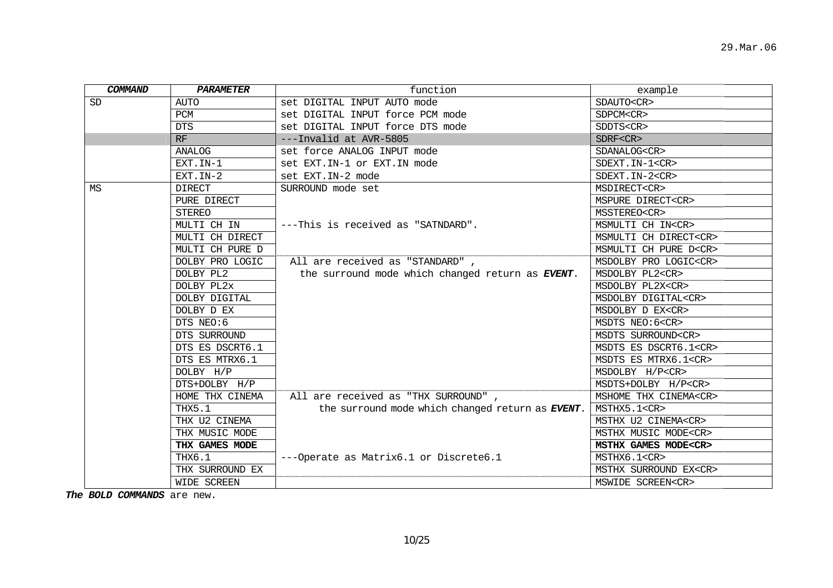| <b>COMMAND</b> | <b>PARAMETER</b> | function                                                 | example                     |
|----------------|------------------|----------------------------------------------------------|-----------------------------|
| SD             | <b>AUTO</b>      | set DIGITAL INPUT AUTO mode                              | SDAUTO <cr></cr>            |
|                | PCM              | set DIGITAL INPUT force PCM mode                         | SDPCM <cr></cr>             |
|                | <b>DTS</b>       | set DIGITAL INPUT force DTS mode                         | SDDTS <cr></cr>             |
|                | RF               | ---Invalid at AVR-5805                                   | SDRF < CR                   |
|                | <b>ANALOG</b>    | set force ANALOG INPUT mode                              | SDANALOG <cr></cr>          |
|                | EXT.IN-1         | set EXT. IN-1 or EXT. IN mode                            | SDEXT. IN-1 <cr></cr>       |
|                | EXT. IN-2        | set EXT. IN-2 mode                                       | SDEXT. IN-2 <cr></cr>       |
| ΜS             | <b>DIRECT</b>    | SURROUND mode set                                        | MSDIRECT <cr></cr>          |
|                | PURE DIRECT      |                                                          | MSPURE DIRECT <cr></cr>     |
|                | <b>STEREO</b>    |                                                          | MSSTEREO <cr></cr>          |
|                | MULTI CH IN      | ---This is received as "SATNDARD".                       | MSMULTI CH IN <cr></cr>     |
|                | MULTI CH DIRECT  |                                                          | MSMULTI CH DIRECT <cr></cr> |
|                | MULTI CH PURE D  |                                                          | MSMULTI CH PURE D <cr></cr> |
|                | DOLBY PRO LOGIC  | All are received as "STANDARD",                          | MSDOLBY PRO LOGIC <cr></cr> |
|                | DOLBY PL2        | the surround mode which changed return as EVENT.         | MSDOLBY PL2 <cr></cr>       |
|                | DOLBY PL2x       |                                                          | MSDOLBY PL2X <cr></cr>      |
|                | DOLBY DIGITAL    |                                                          | MSDOLBY DIGITAL <cr></cr>   |
|                | DOLBY D EX       |                                                          | MSDOLBY D EX <cr></cr>      |
|                | DTS NEO:6        |                                                          | MSDTS NEO:6 <cr></cr>       |
|                | DTS SURROUND     |                                                          | MSDTS SURROUND <cr></cr>    |
|                | DTS ES DSCRT6.1  |                                                          | MSDTS ES DSCRT6.1 <cr></cr> |
|                | DTS ES MTRX6.1   |                                                          | MSDTS ES MTRX6.1 <cr></cr>  |
|                | DOLBY H/P        |                                                          | MSDOLBY H/P <cr></cr>       |
|                | DTS+DOLBY H/P    |                                                          | MSDTS+DOLBY H/P <cr></cr>   |
|                | HOME THX CINEMA  | All are received as "THX SURROUND",                      | MSHOME THX CINEMA <cr></cr> |
|                | THX5.1           | the surround mode which changed return as <b>EVENT</b> . | MSTHX5.1 <cr></cr>          |
|                | THX U2 CINEMA    |                                                          | MSTHX U2 CINEMA <cr></cr>   |
|                | THX MUSIC MODE   |                                                          | MSTHX MUSIC MODE <cr></cr>  |
|                | THX GAMES MODE   |                                                          | MSTHX GAMES MODE <cr></cr>  |
|                | THX6.1           | ---Operate as Matrix6.1 or Discrete6.1                   | MSTHX6.1 <cr></cr>          |
|                | THX SURROUND EX  |                                                          | MSTHX SURROUND EX <cr></cr> |
|                | WIDE SCREEN      |                                                          | MSWIDE SCREEN <cr></cr>     |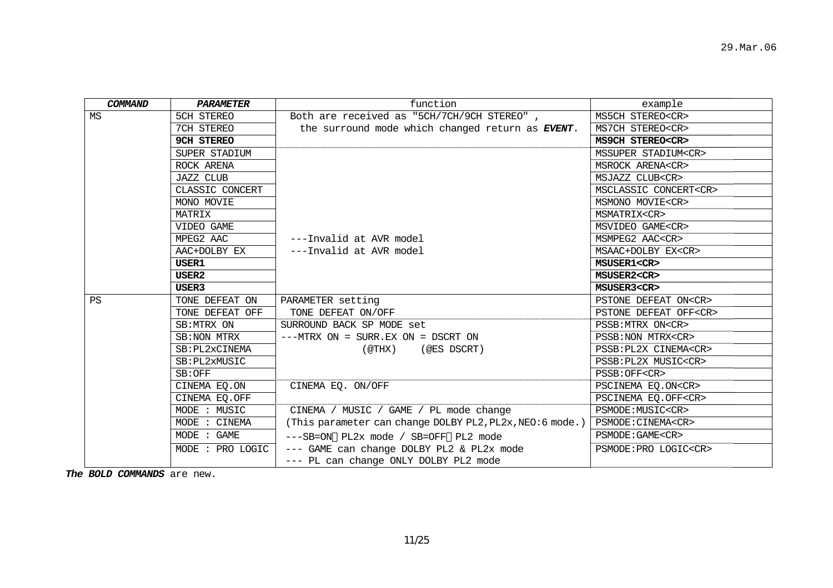| COMMAND   | <b>PARAMETER</b>  | function                                                 | example                     |
|-----------|-------------------|----------------------------------------------------------|-----------------------------|
| MS        | 5CH STEREO        | Both are received as "5CH/7CH/9CH STEREO",               | MS5CH STEREO <cr></cr>      |
|           | 7CH STEREO        | the surround mode which changed return as EVENT.         | MS7CH STEREO <cr></cr>      |
|           | <b>9CH STEREO</b> |                                                          | MS9CH STEREO <cr></cr>      |
|           | SUPER STADIUM     |                                                          | MSSUPER STADIUM <cr></cr>   |
|           | ROCK ARENA        |                                                          | MSROCK ARENA <cr></cr>      |
|           | <b>JAZZ CLUB</b>  |                                                          | MSJAZZ CLUB <cr></cr>       |
|           | CLASSIC CONCERT   |                                                          | MSCLASSIC CONCERT <cr></cr> |
|           | MONO MOVIE        |                                                          | MSMONO MOVIE <cr></cr>      |
|           | MATRIX            |                                                          | MSMATRIX <cr></cr>          |
|           | VIDEO GAME        |                                                          | MSVIDEO GAME <cr></cr>      |
|           | MPEG2 AAC         | ---Invalid at AVR model                                  | MSMPEG2 AAC <cr></cr>       |
|           | AAC+DOLBY EX      | ---Invalid at AVR model                                  | MSAAC+DOLBY EX <cr></cr>    |
|           | USER1             |                                                          | MSUSER1 <cr></cr>           |
|           | USER2             |                                                          | MSUSER2 <cr></cr>           |
|           | USER3             |                                                          | MSUSER3 <cr></cr>           |
| <b>PS</b> | TONE DEFEAT ON    | PARAMETER setting                                        | PSTONE DEFEAT ON <cr></cr>  |
|           | TONE DEFEAT OFF   | TONE DEFEAT ON/OFF                                       | PSTONE DEFEAT OFF <cr></cr> |
|           | SB:MTRX ON        | SURROUND BACK SP MODE set                                | PSSB: MTRX ON <cr></cr>     |
|           | SB: NON MTRX      | $---MTRY ON = SURR. EX ON = DSCRT ON$                    | PSSB: NON MTRX <cr></cr>    |
|           | SB: PL2xCINEMA    | (@THX)<br>(@ES DSCRT)                                    | PSSB: PL2X CINEMA <cr></cr> |
|           | SB: PL2xMUSIC     |                                                          | PSSB: PL2X MUSIC <cr></cr>  |
|           | SB:OFF            |                                                          | PSSB: OFF <cr></cr>         |
|           | CINEMA EQ.ON      | CINEMA EQ. ON/OFF                                        | PSCINEMA EQ.ON <cr></cr>    |
|           | CINEMA EQ.OFF     |                                                          | PSCINEMA EQ.OFF <cr></cr>   |
|           | MODE : MUSIC      | CINEMA / MUSIC / GAME / PL mode change                   | PSMODE: MUSIC <cr></cr>     |
|           | MODE : CINEMA     | (This parameter can change DOLBY PL2, PL2x, NEO:6 mode.) | PSMODE: CINEMA <cr></cr>    |
|           | MODE : GAME       | ---SB=ON PL2x mode / SB=OFF PL2 mode                     | PSMODE: GAME <cr></cr>      |
|           | MODE : PRO LOGIC  | --- GAME can change DOLBY PL2 & PL2x mode                | PSMODE: PRO LOGIC <cr></cr> |
|           |                   | --- PL can change ONLY DOLBY PL2 mode                    |                             |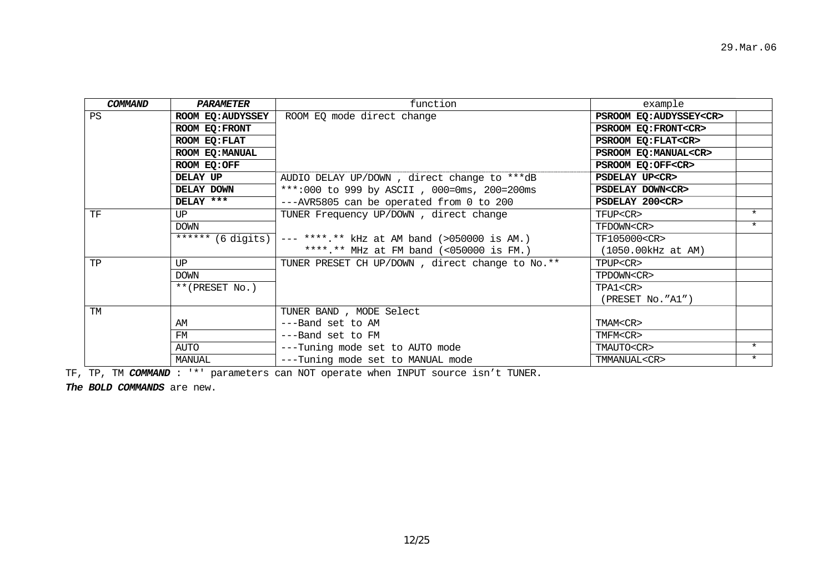| COMMAND   | PARAMETER         | function                                        | example                      |         |
|-----------|-------------------|-------------------------------------------------|------------------------------|---------|
| <b>PS</b> | ROOM EQ: AUDYSSEY | ROOM EQ mode direct change                      | PSROOM EQ:AUDYSSEY <cr></cr> |         |
|           | ROOM EQ: FRONT    |                                                 | PSROOM EQ: FRONT <cr></cr>   |         |
|           | ROOM EO: FLAT     |                                                 | PSROOM EQ: FLAT <cr></cr>    |         |
|           | ROOM EO: MANUAL   |                                                 | PSROOM EQ: MANUAL <cr></cr>  |         |
|           | ROOM EQ:OFF       |                                                 | PSROOM EQ:OFF <cr></cr>      |         |
|           | DELAY UP          | AUDIO DELAY UP/DOWN, direct change to ***dB     | PSDELAY UP <cr></cr>         |         |
|           | DELAY DOWN        | ***:000 to 999 by ASCII, 000=0ms, 200=200ms     | PSDELAY DOWN <cr></cr>       |         |
|           | DELAY ***         | ---AVR5805 can be operated from 0 to 200        | PSDELAY 200 <cr></cr>        |         |
| TF        | UP                | TUNER Frequency UP/DOWN, direct change          | TFUP <cr></cr>               | $\star$ |
|           | <b>DOWN</b>       |                                                 | TFDOWN <cr></cr>             | $\star$ |
|           | $****$ (6 digits) | $---$ ****.** kHz at AM band (>050000 is AM.)   | TF105000 <cr></cr>           |         |
|           |                   | ****.** MHz at FM band $( < 050000$ is FM.)     | $(1050.00kHz$ at AM)         |         |
| TP        | UP                | TUNER PRESET CH UP/DOWN, direct change to No.** | TPUP <cr></cr>               |         |
|           | <b>DOWN</b>       |                                                 | TPDOWN <cr></cr>             |         |
|           | $**$ (PRESET No.) |                                                 | TPA1 <cr></cr>               |         |
|           |                   |                                                 | (PRESET NO. "A1")            |         |
| TM        |                   | TUNER BAND, MODE Select                         |                              |         |
|           | AM                | ---Band set to AM                               | TMAM <cr></cr>               |         |
|           | FM                | ---Band set to FM                               | TMFM <cr></cr>               |         |
|           | AUTO              | ---Tuning mode set to AUTO mode                 | TMAUTO <cr></cr>             | $\star$ |
|           | MANUAL            | ---Tuning mode set to MANUAL mode               | TMMANUAL <cr></cr>           | $\star$ |

TF, TP, TM *COMMAND* : '\*' parameters can NOT operate when INPUT source isn't TUNER.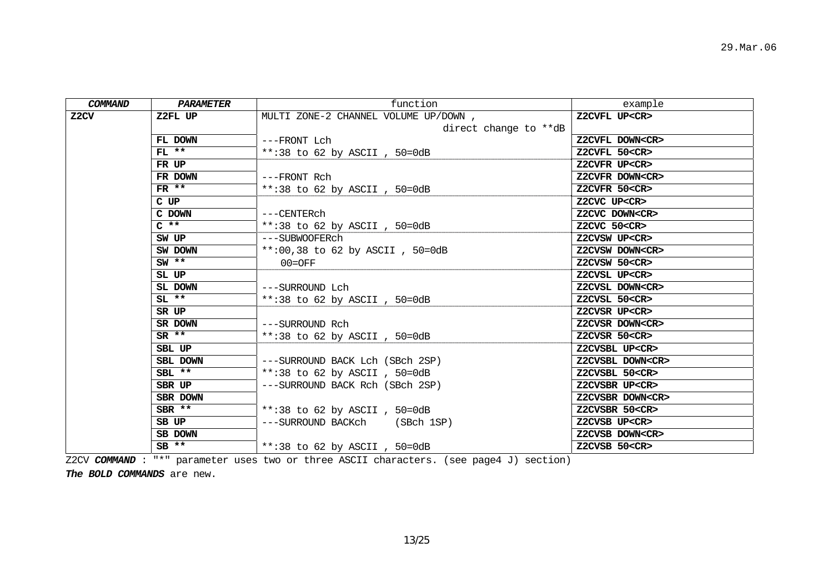| COMMAND | PARAMETER      | function                             | example                |
|---------|----------------|--------------------------------------|------------------------|
| Z2CV    | Z2FL UP        | MULTI ZONE-2 CHANNEL VOLUME UP/DOWN, | Z2CVFL UP <cr></cr>    |
|         |                | direct change to **dB                |                        |
|         | FL DOWN        | ---FRONT Lch                         | Z2CVFL DOWN <cr></cr>  |
|         | $FL$ **        | **:38 to 62 by ASCII, $50=0dB$       | Z2CVFL 50 <cr></cr>    |
|         | FR UP          |                                      | Z2CVFR UP <cr></cr>    |
|         | FR DOWN        | ---FRONT Rch                         | Z2CVFR DOWN <cr></cr>  |
|         | $FR$ **        | **:38 to 62 by ASCII, 50=0dB         | Z2CVFR 50 <cr></cr>    |
|         | $C$ UP         |                                      | Z2CVC UP <cr></cr>     |
|         | C DOWN         | ---CENTERch                          | Z2CVC DOWN <cr></cr>   |
|         | $C \ast \star$ | **:38 to 62 by ASCII, 50=0dB         | Z2CVC 50 <cr></cr>     |
|         | SW UP          | ---SUBWOOFERch                       | Z2CVSW UP <cr></cr>    |
|         | SW DOWN        | **:00,38 to 62 by ASCII, $50=0dB$    | Z2CVSW DOWN <cr></cr>  |
|         | $SW$ **        | $00 = OFF$                           | Z2CVSW 50 <cr></cr>    |
|         | SL UP          |                                      | Z2CVSL UP <cr></cr>    |
|         | SL DOWN        | ---SURROUND Lch                      | Z2CVSL DOWN <cr></cr>  |
|         | $SL$ **        | **:38 to 62 by ASCII, 50=0dB         | Z2CVSL 50 <cr></cr>    |
|         | SR UP          |                                      | Z2CVSR UP <cr></cr>    |
|         | SR DOWN        | ---SURROUND Rch                      | Z2CVSR DOWN <cr></cr>  |
|         | $SR$ **        | **:38 to 62 by ASCII, $50=0dB$       | Z2CVSR 50 <cr></cr>    |
|         | SBL UP         |                                      | Z2CVSBL UP <cr></cr>   |
|         | SBL DOWN       | ---SURROUND BACK Lch (SBch 2SP)      | Z2CVSBL DOWN <cr></cr> |
|         | $SBL$ **       | **:38 to 62 by ASCII, $50=0dB$       | Z2CVSBL 50 <cr></cr>   |
|         | SBR UP         | ---SURROUND BACK Rch (SBch 2SP)      | Z2CVSBR UP <cr></cr>   |
|         | SBR DOWN       |                                      | Z2CVSBR DOWN <cr></cr> |
|         | $SBR$ **       | **:38 to 62 by ASCII, 50=0dB         | Z2CVSBR 50 <cr></cr>   |
|         | SB UP          | ---SURROUND BACKch (SBch 1SP)        | Z2CVSB UP <cr></cr>    |
|         | SB DOWN        |                                      | Z2CVSB DOWN <cr></cr>  |
|         | $SB$ **        | **:38 to 62 by ASCII, $50=0dB$       | Z2CVSB 50 <cr></cr>    |

Z2CV *COMMAND* : "\*" parameter uses two or three ASCII characters. (see page4 J) section)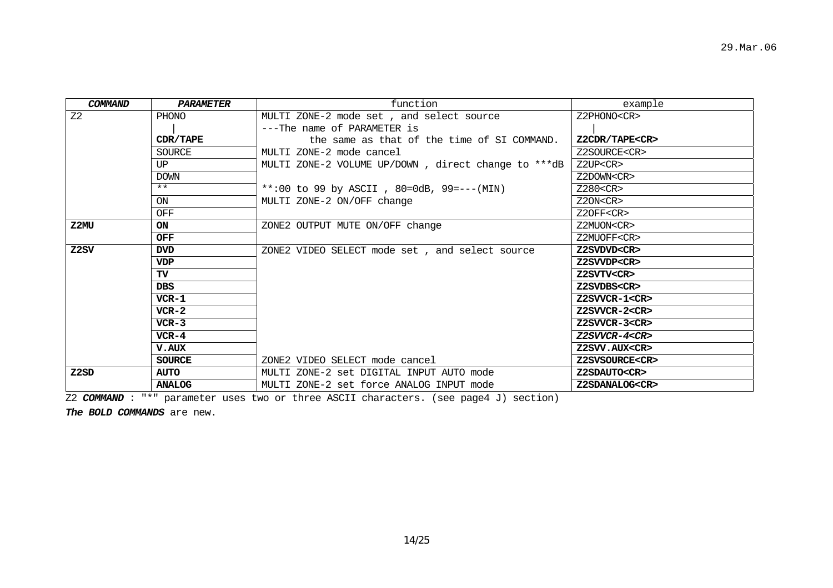| COMMAND           | PARAMETER     | function                                            | example              |
|-------------------|---------------|-----------------------------------------------------|----------------------|
| Z <sub>2</sub>    | PHONO         | MULTI ZONE-2 mode set, and select source            | Z2PHONO <cr></cr>    |
|                   |               | ---The name of PARAMETER is                         |                      |
|                   | CDR/TAPE      | the same as that of the time of SI COMMAND.         | Z2CDR/TAPE <cr></cr> |
|                   | SOURCE        | MULTI ZONE-2 mode cancel                            | Z2SOURCE <cr></cr>   |
|                   | UP            | MULTI ZONE-2 VOLUME UP/DOWN, direct change to ***dB | Z2UP < CR            |
|                   | <b>DOWN</b>   |                                                     | Z2DOWN <cr></cr>     |
|                   | $***$         | **:00 to 99 by ASCII, 80=0dB, 99 = --- (MIN)        | Z280 < CR            |
|                   | ON            | MULTI ZONE-2 ON/OFF change                          | Z20N < CR            |
|                   | OFF           |                                                     | Z2OFF <cr></cr>      |
| Z2MU              | <b>ON</b>     | ZONE2 OUTPUT MUTE ON/OFF change                     | Z2MUON <cr></cr>     |
|                   | <b>OFF</b>    |                                                     | Z2MUOFF <cr></cr>    |
| Z <sub>2</sub> SV | <b>DVD</b>    | ZONE2 VIDEO SELECT mode set, and select source      | Z2SVDVD <cr></cr>    |
|                   | <b>VDP</b>    |                                                     | Z2SVVDP <cr></cr>    |
|                   | <b>TV</b>     |                                                     | Z2SVTV <cr></cr>     |
|                   | <b>DBS</b>    |                                                     | Z2SVDBS <cr></cr>    |
|                   | $VCR-1$       |                                                     | Z2SVVCR-1 <cr></cr>  |
|                   | $VCR-2$       |                                                     | Z2SVVCR-2 <cr></cr>  |
|                   | $VCR-3$       |                                                     | Z2SVVCR-3 <cr></cr>  |
|                   | $VCR-4$       |                                                     | Z2SVVCR-4 <cr></cr>  |
|                   | V.AUX         |                                                     | Z2SVV.AUX <cr></cr>  |
|                   | <b>SOURCE</b> | ZONE2 VIDEO SELECT mode cancel                      | Z2SVSOURCE <cr></cr> |
| Z2SD              | <b>AUTO</b>   | MULTI ZONE-2 set DIGITAL INPUT AUTO mode            | Z2SDAUTO <cr></cr>   |
|                   | <b>ANALOG</b> | MULTI ZONE-2 set force ANALOG INPUT mode            | Z2SDANALOG <cr></cr> |

Z2 *COMMAND* : "\*" parameter uses two or three ASCII characters. (see page4 J) section)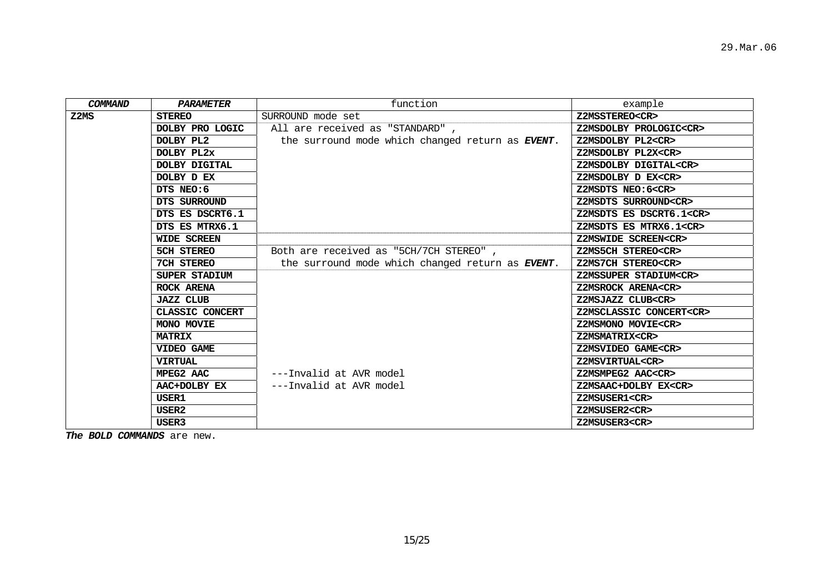| <b>COMMAND</b> | <b>PARAMETER</b>   | function                                                 | example                       |
|----------------|--------------------|----------------------------------------------------------|-------------------------------|
| Z2MS           | <b>STEREO</b>      | SURROUND mode set                                        | Z2MSSTEREO <cr></cr>          |
|                | DOLBY PRO LOGIC    | All are received as "STANDARD",                          | Z2MSDOLBY PROLOGIC <cr></cr>  |
|                | DOLBY PL2          | the surround mode which changed return as <b>EVENT</b> . | Z2MSDOLBY PL2 <cr></cr>       |
|                | DOLBY PL2x         |                                                          | Z2MSDOLBY PL2X <cr></cr>      |
|                | DOLBY DIGITAL      |                                                          | Z2MSDOLBY DIGITAL <cr></cr>   |
|                | DOLBY D EX         |                                                          | Z2MSDOLBY D EX <cr></cr>      |
|                | DTS NEO:6          |                                                          | Z2MSDTS NEO: 6 <cr></cr>      |
|                | DTS SURROUND       |                                                          | Z2MSDTS SURROUND <cr></cr>    |
|                | DTS ES DSCRT6.1    |                                                          | Z2MSDTS ES DSCRT6.1 <cr></cr> |
|                | DTS ES MTRX6.1     |                                                          | Z2MSDTS ES MTRX6.1 <cr></cr>  |
|                | <b>WIDE SCREEN</b> |                                                          | Z2MSWIDE SCREEN <cr></cr>     |
|                | 5CH STEREO         | Both are received as "5CH/7CH STEREO",                   | Z2MS5CH STEREO <cr></cr>      |
|                | 7CH STEREO         | the surround mode which changed return as EVENT.         | Z2MS7CH STEREO <cr></cr>      |
|                | SUPER STADIUM      |                                                          | Z2MSSUPER STADIUM <cr></cr>   |
|                | ROCK ARENA         |                                                          | Z2MSROCK ARENA <cr></cr>      |
|                | <b>JAZZ CLUB</b>   |                                                          | Z2MSJAZZ CLUB <cr></cr>       |
|                | CLASSIC CONCERT    |                                                          | Z2MSCLASSIC CONCERT <cr></cr> |
|                | MONO MOVIE         |                                                          | Z2MSMONO MOVIE <cr></cr>      |
|                | <b>MATRIX</b>      |                                                          | Z2MSMATRIX <cr></cr>          |
|                | VIDEO GAME         |                                                          | Z2MSVIDEO GAME <cr></cr>      |
|                | <b>VIRTUAL</b>     |                                                          | Z2MSVIRTUAL <cr></cr>         |
|                | MPEG2 AAC          | ---Invalid at AVR model                                  | Z2MSMPEG2 AAC <cr></cr>       |
|                | AAC+DOLBY EX       | ---Invalid at AVR model                                  | Z2MSAAC+DOLBY EX <cr></cr>    |
|                | <b>USER1</b>       |                                                          | Z2MSUSER1 <cr></cr>           |
|                | USER2              |                                                          | Z2MSUSER2 <cr></cr>           |
|                | USER3              |                                                          | Z2MSUSER3 <cr></cr>           |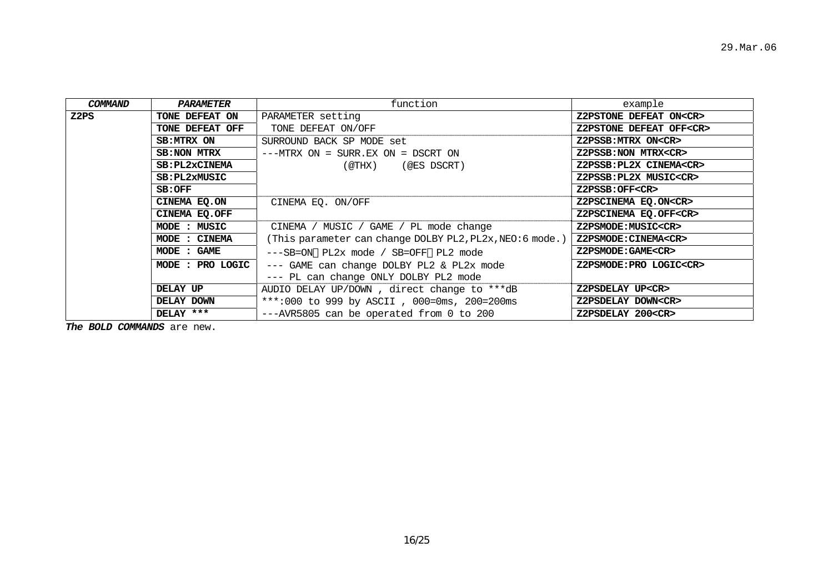| COMMAND | PARAMETER             | function                                                 | example                       |
|---------|-----------------------|----------------------------------------------------------|-------------------------------|
| Z2PS    | TONE DEFEAT ON        | PARAMETER setting                                        | Z2PSTONE DEFEAT ON <cr></cr>  |
|         | TONE DEFEAT OFF       | TONE DEFEAT ON/OFF                                       | Z2PSTONE DEFEAT OFF <cr></cr> |
|         | SB:MTRX ON            | SURROUND BACK SP MODE set                                | Z2PSSB: MTRX ON <cr></cr>     |
|         | <b>SB:NON MTRX</b>    | $---MTRX ON = SURR. EX ON = DSCRT ON$                    | Z2PSSB:NON MTRX <cr></cr>     |
|         | <b>SB: PL2xCINEMA</b> | $($ @THX $)$<br>(@ES DSCRT)                              | Z2PSSB: PL2X CINEMA <cr></cr> |
|         | <b>SB:PL2xMUSIC</b>   |                                                          | Z2PSSB: PL2X MUSIC <cr></cr>  |
|         | SB:OFF                |                                                          | Z2PSSB:OFF <cr></cr>          |
|         | CINEMA EO.ON          | CINEMA EO. ON/OFF                                        | Z2PSCINEMA EQ.ON <cr></cr>    |
|         | CINEMA EQ.OFF         |                                                          | Z2PSCINEMA EQ.OFF <cr></cr>   |
|         | MODE : MUSIC          | CINEMA / MUSIC / GAME / PL mode change                   | Z2PSMODE: MUSIC <cr></cr>     |
|         | MODE : CINEMA         | (This parameter can change DOLBY PL2, PL2x, NEO:6 mode.) | Z2PSMODE: CINEMA <cr></cr>    |
|         | MODE : GAME           | ---SB=ON PL2x mode / SB=OFF PL2 mode                     | Z2PSMODE: GAME <cr></cr>      |
|         | MODE : PRO LOGIC      | --- GAME can change DOLBY PL2 & PL2x mode                | Z2PSMODE: PRO LOGIC <cr></cr> |
|         |                       | --- PL can change ONLY DOLBY PL2 mode                    |                               |
|         | DELAY UP              | AUDIO DELAY UP/DOWN, direct change to ***dB              | Z2PSDELAY UP <cr></cr>        |
|         | DELAY DOWN            | ***:000 to 999 by ASCII, 000=0ms, 200=200ms              | Z2PSDELAY DOWN <cr></cr>      |
|         | DELAY ***             | ---AVR5805 can be operated from 0 to 200                 | Z2PSDELAY 200 <cr></cr>       |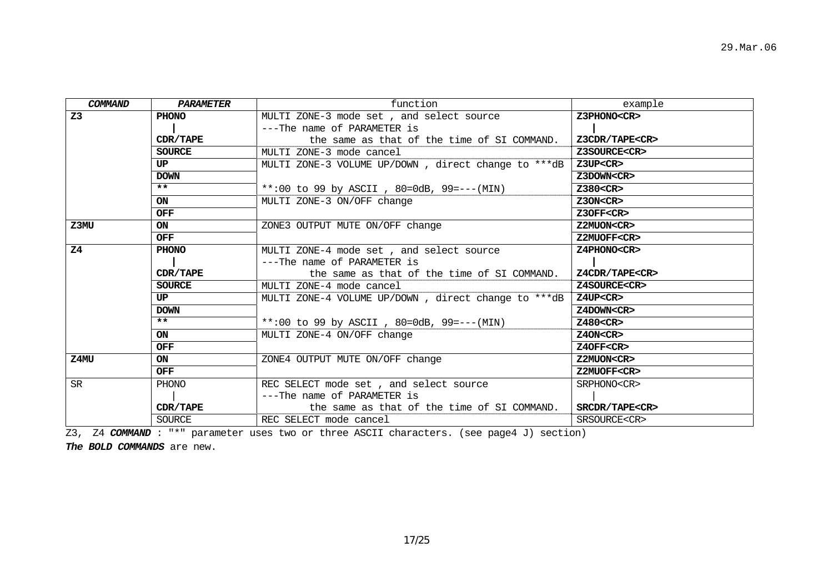| <b>COMMAND</b> | PARAMETER     | function                                            | example                |
|----------------|---------------|-----------------------------------------------------|------------------------|
| Z <sub>3</sub> | PHONO         | MULTI ZONE-3 mode set, and select source            | Z3PHONO <cr></cr>      |
|                |               | ---The name of PARAMETER is                         |                        |
|                | CDR/TAPE      | the same as that of the time of SI COMMAND.         | Z3CDR/TAPE <cr></cr>   |
|                | <b>SOURCE</b> | MULTI ZONE-3 mode cancel                            | Z3SOURCE <cr></cr>     |
|                | UP.           | MULTI ZONE-3 VOLUME UP/DOWN, direct change to ***dB | Z3UP <cr< th=""></cr<> |
|                | <b>DOWN</b>   |                                                     | Z3DOWN <cr></cr>       |
|                | $***$         | **:00 to 99 by ASCII, 80=0dB, 99 = --- (MIN)        | $Z380<$ CR $>$         |
|                | ON            | MULTI ZONE-3 ON/OFF change                          | Z30N < CR              |
|                | <b>OFF</b>    |                                                     | Z3OFF <cr></cr>        |
| Z3MU           | <b>ON</b>     | ZONE3 OUTPUT MUTE ON/OFF change                     | Z2MUON <cr></cr>       |
|                | <b>OFF</b>    |                                                     | Z2MUOFF <cr></cr>      |
| Z <sub>4</sub> | PHONO         | MULTI ZONE-4 mode set, and select source            | Z4PHONO <cr></cr>      |
|                |               | ---The name of PARAMETER is                         |                        |
|                | CDR/TAPE      | the same as that of the time of SI COMMAND.         | Z4CDR/TAPE <cr></cr>   |
|                | <b>SOURCE</b> | MULTI ZONE-4 mode cancel                            | Z4SOURCE <cr></cr>     |
|                | UP            | MULTI ZONE-4 VOLUME UP/DOWN, direct change to ***dB | Z4UP <cr< th=""></cr<> |
|                | <b>DOWN</b>   |                                                     | Z4DOWN <cr></cr>       |
|                | $***$         | **:00 to 99 by ASCII, 80=0dB, 99 = $- - (MIN)$      | $Z480<$ CR $>$         |
|                | <b>ON</b>     | MULTI ZONE-4 ON/OFF change                          | Z4ON < CR              |
|                | <b>OFF</b>    |                                                     | Z40FF <cr></cr>        |
| Z4MU           | <b>ON</b>     | ZONE4 OUTPUT MUTE ON/OFF change                     | Z2MUON <cr></cr>       |
|                | <b>OFF</b>    |                                                     | Z2MUOFF <cr></cr>      |
| <b>SR</b>      | PHONO         | REC SELECT mode set, and select source              | SRPHONO <cr></cr>      |
|                |               | ---The name of PARAMETER is                         |                        |
|                | CDR/TAPE      | the same as that of the time of SI COMMAND.         | SRCDR/TAPE <cr></cr>   |
|                | <b>SOURCE</b> | REC SELECT mode cancel                              | SRSOURCE <cr></cr>     |

Z3, Z4 *COMMAND* : "\*" parameter uses two or three ASCII characters. (see page4 J) section)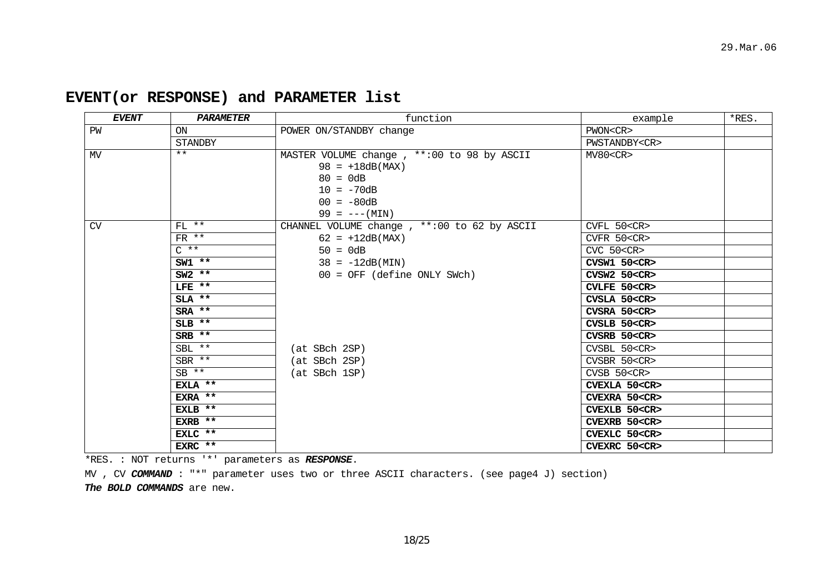| EVENT | PARAMETER       | function                                                                                                       | example             | *RES. |
|-------|-----------------|----------------------------------------------------------------------------------------------------------------|---------------------|-------|
| PW    | ON              | POWER ON/STANDBY change                                                                                        | PWON < CR           |       |
|       | STANDBY         |                                                                                                                | PWSTANDBY <cr></cr> |       |
| MV    | $***$           | MASTER VOLUME change, **: 00 to 98 by ASCII<br>$98 = +18dB(MAX)$<br>$80 = 0dB$<br>$10 = -70dB$<br>$00 = -80dB$ | MV80 < CR           |       |
|       |                 | $99 = --- (MIN)$                                                                                               |                     |       |
| CV    | $FL$ **         | CHANNEL VOLUME change, **: 00 to 62 by ASCII                                                                   | CVFL 50 <cr></cr>   |       |
|       | $FR$ **         | $62 = +12dB(MAX)$                                                                                              | CVFR 50 <cr></cr>   |       |
|       | $C \star \star$ | $50 = 0dB$                                                                                                     | $CVC$ 50 $<$ $CR$ > |       |
|       | $SW1$ **        | $38 = -12dB(MIN)$                                                                                              | CVSW1 50 <cr></cr>  |       |
|       | $SW2$ **        | $00 = OFF$ (define ONLY SWch)                                                                                  | CVSW2 50 <cr></cr>  |       |
|       | $LFE$ **        |                                                                                                                | CVLFE 50 <cr></cr>  |       |
|       | $SLA$ **        |                                                                                                                | CVSLA 50 <cr></cr>  |       |
|       | $SRA$ **        |                                                                                                                | CVSRA 50 <cr></cr>  |       |
|       | $SLB$ **        |                                                                                                                | CVSLB 50 <cr></cr>  |       |
|       | $SRB$ **        |                                                                                                                | $CVSRB$ 50 $CR$     |       |
|       | $SBL$ **        | (at SBch 2SP)                                                                                                  | CVSBL 50 <cr></cr>  |       |
|       | $SBR$ **        | (at SBch 2SP)                                                                                                  | CVSBR 50 <cr></cr>  |       |
|       | $SB$ **         | (at SBch 1SP)                                                                                                  | $CVSB$ 50< $CR$ >   |       |
|       | EXLA **         |                                                                                                                | CVEXLA 50 <cr></cr> |       |
|       | EXRA **         |                                                                                                                | CVEXRA 50 <cr></cr> |       |
|       | EXLB **         |                                                                                                                | CVEXLB 50 <cr></cr> |       |
|       | EXRB **         |                                                                                                                | CVEXRB 50 <cr></cr> |       |
|       | EXLC **         |                                                                                                                | CVEXLC 50 <cr></cr> |       |
|       | EXRC $**$       |                                                                                                                | CVEXRC 50 <cr></cr> |       |

# **EVENT(or RESPONSE) and PARAMETER list**

\*RES. : NOT returns '\*' parameters as *RESPONSE*.

MV , CV COMMAND : "\*" parameter uses two or three ASCII characters. (see page4 J) section) *The BOLD COMMANDS* are new.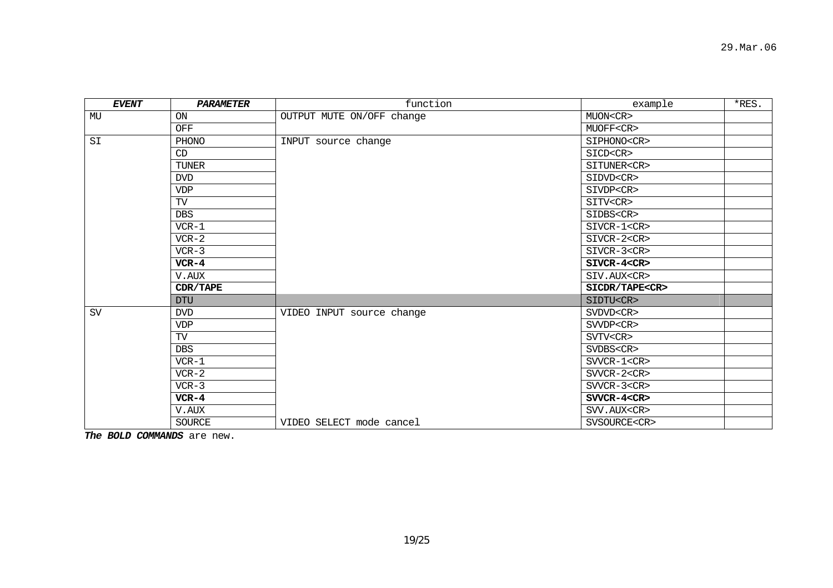| <b>EVENT</b> | <b>PARAMETER</b> | function                  | example              | *RES. |
|--------------|------------------|---------------------------|----------------------|-------|
| MU           | <b>ON</b>        | OUTPUT MUTE ON/OFF change | MUON <cr></cr>       |       |
|              | OFF              |                           | MUOFF <cr></cr>      |       |
| SI           | PHONO            | INPUT source change       | SIPHONO <cr></cr>    |       |
|              | CD               |                           | SICD <cr></cr>       |       |
|              | <b>TUNER</b>     |                           | SITUNER <cr></cr>    |       |
|              | <b>DVD</b>       |                           | SIDVD <cr></cr>      |       |
|              | <b>VDP</b>       |                           | SIVDP <cr></cr>      |       |
|              | TV               |                           | SITV <cr></cr>       |       |
|              | <b>DBS</b>       |                           | SIDBS <cr></cr>      |       |
|              | $VCR-1$          |                           | SIVCR-1 <cr></cr>    |       |
|              | $VCR-2$          |                           | $SIVCR-2 < CR$       |       |
|              | $VCR-3$          |                           | SIVCR-3 <cr></cr>    |       |
|              | $VCR-4$          |                           | $SIVCR-4 < CR$       |       |
|              | V.AUX            |                           | SIV.AUX <cr></cr>    |       |
|              | CDR/TAPE         |                           | SICDR/TAPE <cr></cr> |       |
|              | <b>DTU</b>       |                           | SIDTU <cr></cr>      |       |
| SV           | <b>DVD</b>       | VIDEO INPUT source change | SVDVD <cr></cr>      |       |
|              | <b>VDP</b>       |                           | SVVDP <cr></cr>      |       |
|              | TV               |                           | SVTV <cr></cr>       |       |
|              | <b>DBS</b>       |                           | SVDBS <cr></cr>      |       |
|              | $VCR-1$          |                           | $SVVCR-1 < CR$       |       |
|              | $VCR-2$          |                           | $SVVCR-2 < CR$       |       |
|              | $VCR-3$          |                           | $SVVCR-3 < CR$       |       |
|              | $VCR-4$          |                           | SVVCR-4 <cr></cr>    |       |
|              | V.AUX            |                           | SVV.AUX <cr></cr>    |       |
|              | <b>SOURCE</b>    | VIDEO SELECT mode cancel  | SVSOURCE <cr></cr>   |       |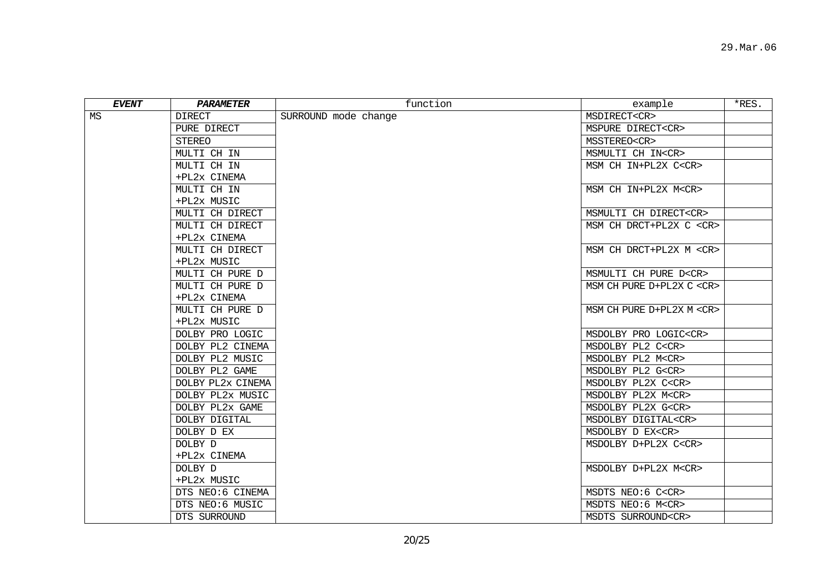| <b>EVENT</b> | PARAMETER         | function             | example                                                              | $*$ RES. |
|--------------|-------------------|----------------------|----------------------------------------------------------------------|----------|
| MS           | <b>DIRECT</b>     | SURROUND mode change | MSDIRECT <cr></cr>                                                   |          |
|              | PURE DIRECT       |                      | MSPURE DIRECT <cr></cr>                                              |          |
|              | STEREO            |                      | MSSTEREO <cr></cr>                                                   |          |
|              | MULTI CH IN       |                      | MSMULTI CH IN <cr></cr>                                              |          |
|              | MULTI CH IN       |                      | MSM CH IN+PL2X C <cr></cr>                                           |          |
|              | +PL2x CINEMA      |                      |                                                                      |          |
|              | MULTI CH IN       |                      | MSM CH IN+PL2X M <cr></cr>                                           |          |
|              | +PL2x MUSIC       |                      |                                                                      |          |
|              | MULTI CH DIRECT   |                      | MSMULTI CH DIRECT <cr></cr>                                          |          |
|              | MULTI CH DIRECT   |                      | MSM CH DRCT+PL2X C <cr></cr>                                         |          |
|              | +PL2x CINEMA      |                      |                                                                      |          |
|              | MULTI CH DIRECT   |                      | MSM CH DRCT+PL2X M <cr></cr>                                         |          |
|              | +PL2x MUSIC       |                      |                                                                      |          |
|              | MULTI CH PURE D   |                      | MSMULTI CH PURE D <cr></cr>                                          |          |
|              | MULTI CH PURE D   |                      | $\,$ MSM CH PURE D+PL2X C <cr> <math display="inline">\,</math></cr> |          |
|              | +PL2x CINEMA      |                      |                                                                      |          |
|              | MULTI CH PURE D   |                      | MSM CH PURE D+PL2X M <cr></cr>                                       |          |
|              | +PL2x MUSIC       |                      |                                                                      |          |
|              | DOLBY PRO LOGIC   |                      | MSDOLBY PRO LOGIC <cr></cr>                                          |          |
|              | DOLBY PL2 CINEMA  |                      | MSDOLBY PL2 C <cr></cr>                                              |          |
|              | DOLBY PL2 MUSIC   |                      | MSDOLBY PL2 M <cr></cr>                                              |          |
|              | DOLBY PL2 GAME    |                      | MSDOLBY PL2 G <cr></cr>                                              |          |
|              | DOLBY PL2x CINEMA |                      | MSDOLBY PL2X C <cr></cr>                                             |          |
|              | DOLBY PL2x MUSIC  |                      | MSDOLBY PL2X M <cr></cr>                                             |          |
|              | DOLBY PL2x GAME   |                      | MSDOLBY PL2X G <cr></cr>                                             |          |
|              | DOLBY DIGITAL     |                      | MSDOLBY DIGITAL <cr></cr>                                            |          |
|              | DOLBY D EX        |                      | MSDOLBY D EX <cr></cr>                                               |          |
|              | DOLBY D           |                      | MSDOLBY D+PL2X C <cr></cr>                                           |          |
|              | +PL2x CINEMA      |                      |                                                                      |          |
|              | DOLBY D           |                      | MSDOLBY D+PL2X M <cr></cr>                                           |          |
|              | +PL2x MUSIC       |                      |                                                                      |          |
|              | DTS NEO:6 CINEMA  |                      | MSDTS NEO:6 C <cr></cr>                                              |          |
|              | DTS NEO:6 MUSIC   |                      | MSDTS NEO:6 M <cr></cr>                                              |          |
|              | DTS SURROUND      |                      | MSDTS SURROUND <cr></cr>                                             |          |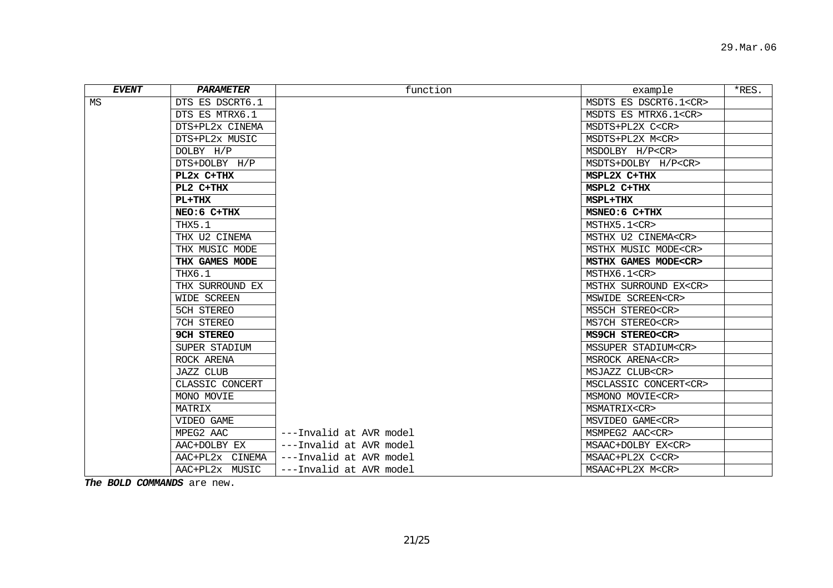| <b>EVENT</b> | PARAMETER         | function                | example                     | *RES. |
|--------------|-------------------|-------------------------|-----------------------------|-------|
| MS           | DTS ES DSCRT6.1   |                         | MSDTS ES DSCRT6.1 <cr></cr> |       |
|              | DTS ES MTRX6.1    |                         | MSDTS ES MTRX6.1 <cr></cr>  |       |
|              | DTS+PL2x CINEMA   |                         | MSDTS+PL2X C <cr></cr>      |       |
|              | DTS+PL2x MUSIC    |                         | MSDTS+PL2X M <cr></cr>      |       |
|              | DOLBY H/P         |                         | MSDOLBY H/P <cr></cr>       |       |
|              | DTS+DOLBY H/P     |                         | MSDTS+DOLBY H/P <cr></cr>   |       |
|              | PL2x C+THX        |                         | MSPL2X C+THX                |       |
|              | PL2 C+THX         |                         | MSPL2 C+THX                 |       |
|              | $PL+THX$          |                         | MSPL+THX                    |       |
|              | NEO: 6 C+THX      |                         | MSNEO: 6 C+THX              |       |
|              | THX5.1            |                         | MSTHX5.1 <cr></cr>          |       |
|              | THX U2 CINEMA     |                         | MSTHX U2 CINEMA <cr></cr>   |       |
|              | THX MUSIC MODE    |                         | MSTHX MUSIC MODE <cr></cr>  |       |
|              | THX GAMES MODE    |                         | MSTHX GAMES MODE <cr></cr>  |       |
|              | THX6.1            |                         | MSTHX6.1 <cr></cr>          |       |
|              | THX SURROUND EX   |                         | MSTHX SURROUND EX <cr></cr> |       |
|              | WIDE SCREEN       |                         | MSWIDE SCREEN <cr></cr>     |       |
|              | 5CH STEREO        |                         | MS5CH STEREO <cr></cr>      |       |
|              | 7CH STEREO        |                         | MS7CH STEREO <cr></cr>      |       |
|              | <b>9CH STEREO</b> |                         | MS9CH STEREO <cr></cr>      |       |
|              | SUPER STADIUM     |                         | MSSUPER STADIUM <cr></cr>   |       |
|              | ROCK ARENA        |                         | MSROCK ARENA <cr></cr>      |       |
|              | <b>JAZZ CLUB</b>  |                         | MSJAZZ CLUB <cr></cr>       |       |
|              | CLASSIC CONCERT   |                         | MSCLASSIC CONCERT <cr></cr> |       |
|              | MONO MOVIE        |                         | MSMONO MOVIE <cr></cr>      |       |
|              | MATRIX            |                         | MSMATRIX <cr></cr>          |       |
|              | VIDEO GAME        |                         | MSVIDEO GAME <cr></cr>      |       |
|              | MPEG2 AAC         | ---Invalid at AVR model | MSMPEG2 AAC <cr></cr>       |       |
|              | AAC+DOLBY EX      | ---Invalid at AVR model | MSAAC+DOLBY EX <cr></cr>    |       |
|              | AAC+PL2x CINEMA   | ---Invalid at AVR model | MSAAC+PL2X C <cr></cr>      |       |
|              | AAC+PL2x MUSIC    | ---Invalid at AVR model | MSAAC+PL2X M <cr></cr>      |       |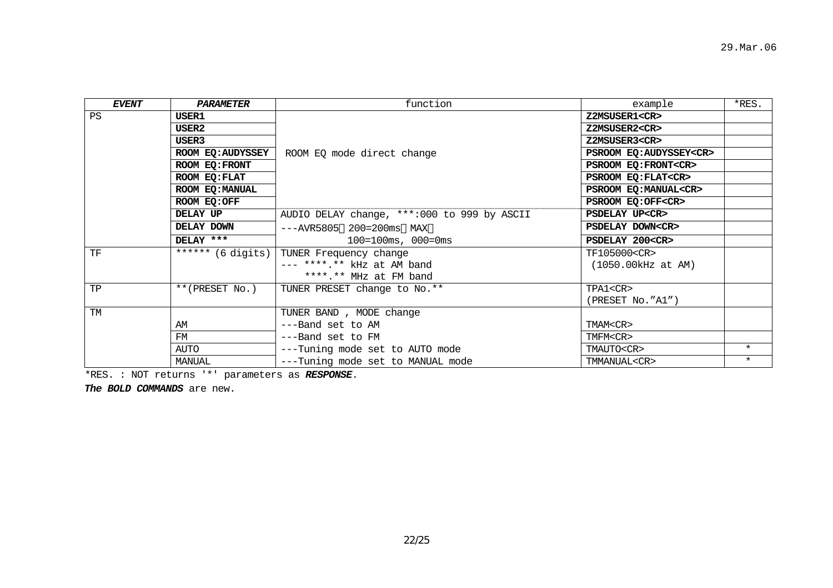| <b>EVENT</b> | PARAMETER                   | function                                     | example                       | *RES.   |
|--------------|-----------------------------|----------------------------------------------|-------------------------------|---------|
| PS           | USER1                       |                                              | Z2MSUSER1 <cr></cr>           |         |
|              | USER2                       |                                              | Z2MSUSER2 <cr></cr>           |         |
|              | USER3                       |                                              | Z2MSUSER3 <cr></cr>           |         |
|              | ROOM EQ:AUDYSSEY            | ROOM EQ mode direct change                   | PSROOM EQ: AUDYSSEY <cr></cr> |         |
|              | ROOM EO: FRONT              |                                              | PSROOM EQ: FRONT <cr></cr>    |         |
|              | ROOM EQ: FLAT               |                                              | PSROOM EQ: FLAT <cr></cr>     |         |
|              | ROOM EQ: MANUAL             |                                              | PSROOM EO: MANUAL <cr></cr>   |         |
|              | ROOM EQ:OFF                 |                                              | PSROOM EQ:OFF <cr></cr>       |         |
|              | DELAY UP                    | AUDIO DELAY change, ***: 000 to 999 by ASCII | <b>PSDELAY UP<cr></cr></b>    |         |
|              | DELAY DOWN                  | $---AVR5805$ 200=200ms MAX                   | PSDELAY DOWN <cr></cr>        |         |
|              | DELAY ***                   | $100 = 100$ ms, $000 = 0$ ms                 | PSDELAY 200 <cr></cr>         |         |
| TF           | ****** $(6 \text{ digits})$ | TUNER Frequency change                       | TF105000 <cr></cr>            |         |
|              |                             | --- ****.** kHz at AM band                   | $(1050.00kHz$ at AM)          |         |
|              |                             | ****.** MHz at FM band                       |                               |         |
| TP           | **(PRESET No.)              | TUNER PRESET change to No.**                 | TPA1 <cr></cr>                |         |
|              |                             |                                              | (PRESET No."A1")              |         |
| TM           |                             | TUNER BAND, MODE change                      |                               |         |
|              | AM                          | ---Band set to AM                            | TMAM <cr></cr>                |         |
|              | FM                          | ---Band set to FM                            | TMFM <cr></cr>                |         |
|              | AUTO                        | ---Tuning mode set to AUTO mode              | TMAUTO <cr></cr>              | $\star$ |
|              | MANUAL                      | ---Tuning mode set to MANUAL mode            | TMMANUAL <cr></cr>            | $\star$ |

\*RES. : NOT returns '\*' parameters as *RESPONSE*.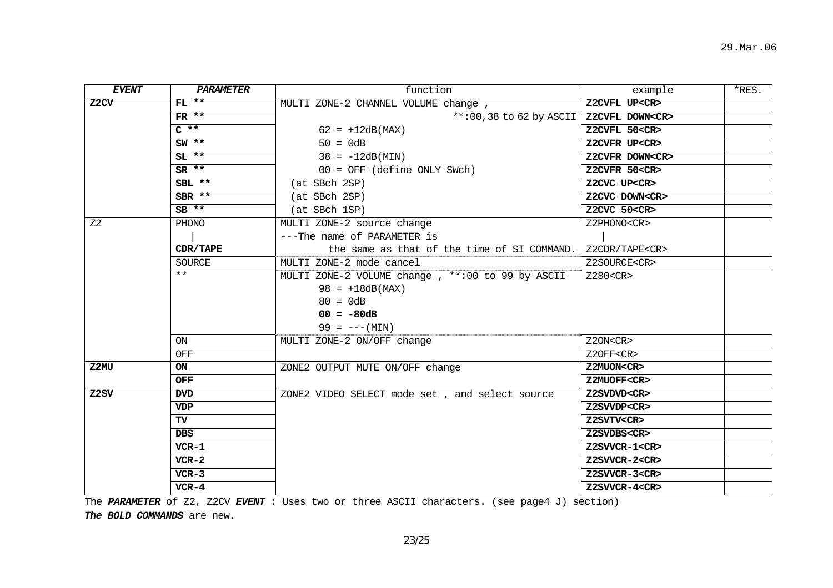| <b>EVENT</b>   | PARAMETER  | function                                          | example               | $*$ RES. |
|----------------|------------|---------------------------------------------------|-----------------------|----------|
| Z2CV           | $FL$ **    | MULTI ZONE-2 CHANNEL VOLUME change,               | Z2CVFL UP <cr></cr>   |          |
|                | $FR$ **    | **:00,38 to 62 by ASCII                           | Z2CVFL DOWN <cr></cr> |          |
|                | $C$ **     | $62 = +12dB(MAX)$                                 | Z2CVFL 50 <cr></cr>   |          |
|                | $SW$ **    | $50 = 0dB$                                        | Z2CVFR UP <cr></cr>   |          |
|                | $SL$ **    | $38 = -12dB(MIN)$                                 | Z2CVFR DOWN <cr></cr> |          |
|                | $SR$ **    | $00 = OFF$ (define ONLY SWch)                     | Z2CVFR 50 <cr></cr>   |          |
|                | $SBL$ **   | (at SBch 2SP)                                     | Z2CVC UP <cr></cr>    |          |
|                | $SBR$ **   | (at SBch 2SP)                                     | Z2CVC DOWN <cr></cr>  |          |
|                | $SB$ **    | (at SBch 1SP)                                     | $Z2CVC$ 50 $<$ CR $>$ |          |
| Z <sub>2</sub> | PHONO      | MULTI ZONE-2 source change                        | Z2PHONO <cr></cr>     |          |
|                |            | ---The name of PARAMETER is                       |                       |          |
|                | CDR/TAPE   | the same as that of the time of SI COMMAND.       | Z2CDR/TAPE <cr></cr>  |          |
|                | SOURCE     | MULTI ZONE-2 mode cancel                          | Z2SOURCE <cr></cr>    |          |
|                | $***$      | MULTI ZONE-2 VOLUME change, **: 00 to 99 by ASCII | Z280 <cr></cr>        |          |
|                |            | $98 = +18dB(MAX)$                                 |                       |          |
|                |            | $80 = 0dB$                                        |                       |          |
|                |            | $00 = -80dB$                                      |                       |          |
|                |            | $99 = --- (MIN)$                                  |                       |          |
|                | ON         | MULTI ZONE-2 ON/OFF change                        | Z2ON <cr></cr>        |          |
|                | OFF        |                                                   | Z2OFF <cr></cr>       |          |
| Z2MU           | ON         | ZONE2 OUTPUT MUTE ON/OFF change                   | Z2MUON <cr></cr>      |          |
|                | <b>OFF</b> |                                                   | Z2MUOFF <cr></cr>     |          |
| Z2SV           | <b>DVD</b> | ZONE2 VIDEO SELECT mode set, and select source    | Z2SVDVD <cr></cr>     |          |
|                | <b>VDP</b> |                                                   | Z2SVVDP <cr></cr>     |          |
|                | TV         |                                                   | Z2SVTV <cr></cr>      |          |
|                | <b>DBS</b> |                                                   | Z2SVDBS <cr></cr>     |          |
|                | $VCR-1$    |                                                   | Z2SVVCR-1 <cr></cr>   |          |
|                | $VCR-2$    |                                                   | Z2SVVCR-2 <cr></cr>   |          |
|                | $VCR-3$    |                                                   | Z2SVVCR-3 <cr></cr>   |          |
|                | $VCR-4$    |                                                   | Z2SVVCR-4 <cr></cr>   |          |

The PARAMETER of Z2, Z2CV EVENT : Uses two or three ASCII characters. (see page4 J) section)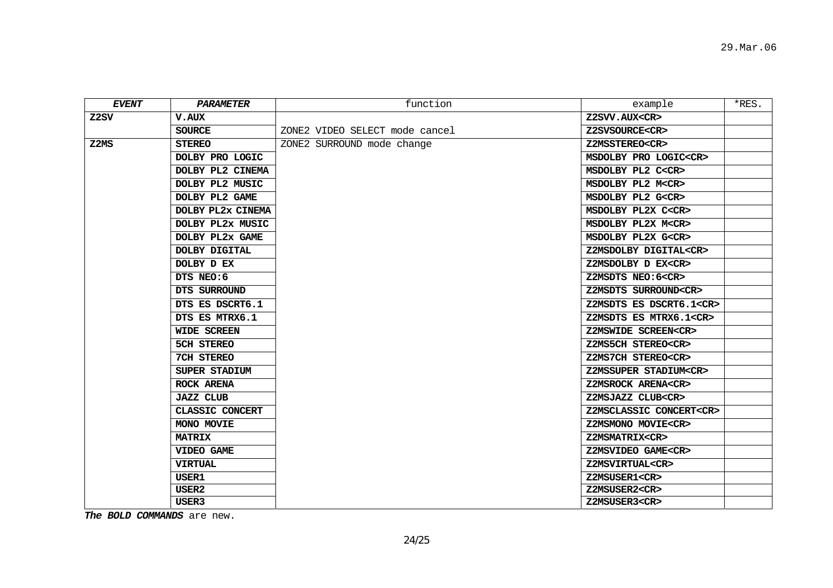| EVENT | PARAMETER         | function                       | example                       | $*$ RES. |
|-------|-------------------|--------------------------------|-------------------------------|----------|
| Z2SV  | <b>V.AUX</b>      |                                | Z2SVV.AUX <cr></cr>           |          |
|       | <b>SOURCE</b>     | ZONE2 VIDEO SELECT mode cancel | Z2SVSOURCE <cr></cr>          |          |
| Z2MS  | <b>STEREO</b>     | ZONE2 SURROUND mode change     | Z2MSSTEREO <cr></cr>          |          |
|       | DOLBY PRO LOGIC   |                                | MSDOLBY PRO LOGIC <cr></cr>   |          |
|       | DOLBY PL2 CINEMA  |                                | MSDOLBY PL2 C <cr></cr>       |          |
|       | DOLBY PL2 MUSIC   |                                | MSDOLBY PL2 M <cr></cr>       |          |
|       | DOLBY PL2 GAME    |                                | MSDOLBY PL2 G <cr></cr>       |          |
|       | DOLBY PL2x CINEMA |                                | MSDOLBY PL2X C <cr></cr>      |          |
|       | DOLBY PL2x MUSIC  |                                | MSDOLBY PL2X M <cr></cr>      |          |
|       | DOLBY PL2x GAME   |                                | MSDOLBY PL2X G <cr></cr>      |          |
|       | DOLBY DIGITAL     |                                | Z2MSDOLBY DIGITAL <cr></cr>   |          |
|       | DOLBY D EX        |                                | Z2MSDOLBY D EX <cr></cr>      |          |
|       | DTS NEO:6         |                                | Z2MSDTS NEO:6 <cr></cr>       |          |
|       | DTS SURROUND      |                                | Z2MSDTS SURROUND <cr></cr>    |          |
|       | DTS ES DSCRT6.1   |                                | Z2MSDTS ES DSCRT6.1 <cr></cr> |          |
|       | DTS ES MTRX6.1    |                                | Z2MSDTS ES MTRX6.1 <cr></cr>  |          |
|       | WIDE SCREEN       |                                | Z2MSWIDE SCREEN <cr></cr>     |          |
|       | <b>5CH STEREO</b> |                                | Z2MS5CH STEREO <cr></cr>      |          |
|       | 7CH STEREO        |                                | Z2MS7CH STEREO <cr></cr>      |          |
|       | SUPER STADIUM     |                                | Z2MSSUPER STADIUM <cr></cr>   |          |
|       | ROCK ARENA        |                                | Z2MSROCK ARENA <cr></cr>      |          |
|       | <b>JAZZ CLUB</b>  |                                | Z2MSJAZZ CLUB <cr></cr>       |          |
|       | CLASSIC CONCERT   |                                | Z2MSCLASSIC CONCERT <cr></cr> |          |
|       | MONO MOVIE        |                                | Z2MSMONO MOVIE <cr></cr>      |          |
|       | <b>MATRIX</b>     |                                | Z2MSMATRIX <cr></cr>          |          |
|       | VIDEO GAME        |                                | Z2MSVIDEO GAME <cr></cr>      |          |
|       | <b>VIRTUAL</b>    |                                | Z2MSVIRTUAL <cr></cr>         |          |
|       | USER1             |                                | Z2MSUSER1 <cr></cr>           |          |
|       | USER <sub>2</sub> |                                | Z2MSUSER2 <cr></cr>           |          |
|       | USER3             |                                | Z2MSUSER3 <cr></cr>           |          |